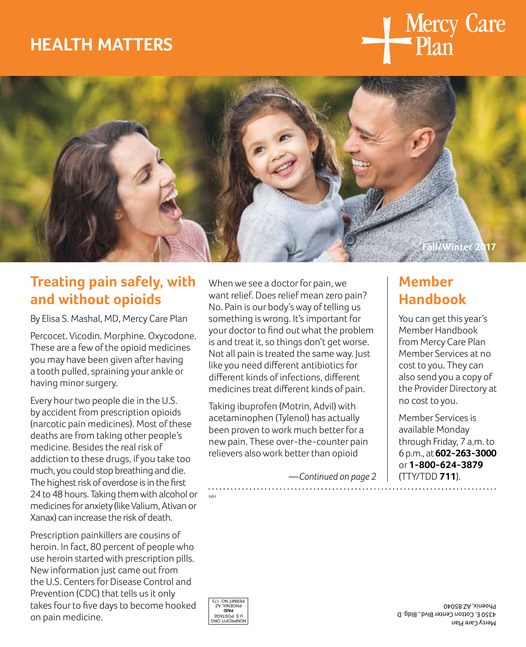# **HEALTH MATTERS**





### **Treating pain safely, with and without opioids**

By Elisa S. Mashal, MD, Mercy Care Plan

Percocet. Vicodin. Morphine. Oxycodone. These are a few of the opioid medicines you may have been given after having a tooth pulled, spraining your ankle or having minor surgery.

Every hour two people die in the U.S. by accident from prescription opioids (narcotic pain medicines). Most of these deaths are from taking other people's medicine. Besides the real risk of addiction to these drugs, if you take too much, you could stop breathing and die. The highest risk of overdose is in the first 24 to 48 hours. Taking them with alcohol or medicines for anxiety (like Valium, Ativan or Xanax) can increase the risk of death.

Prescription painkillers are cousins of heroin. In fact, 80 percent of people who use heroin started with prescription pills. New information just came out from the U.S. Centers for Disease Control and Prevention (CDC) that tells us it only takes four to five days to become hooked on pain medicine.

When we see a doctor for pain, we want relief. Does relief mean zero pain? No. Pain is our body's way of telling us something is wrong. It's important for your doctor to find out what the problem is and treat it, so things don't get worse. Not all pain is treated the same way. Just like you need different antibiotics for different kinds of infections, different medicines treat different kinds of pain.

Taking ibuprofen (Motrin, Advil) with acetaminophen (Tylenol) has actually been proven to work much better for a new pain. These over-the-counter pain relievers also work better than opioid

*—Continued on page 2* 

### **Member Handbook**

You can get this year's Member Handbook from Mercy Care Plan Member Services at no cost to you. They can also send you a copy of the Provider Directory at no cost to you.

Member Services is available Monday through Friday, 7 a.m. to 6 p.m., at **602-263-3000**  or **1-800-624-3879**  (TTY/TDD **711**).



HM

Mercy Care Plan 4350 E. Cotton Center Blvd., Bldg. D Phoenix, AZ 85040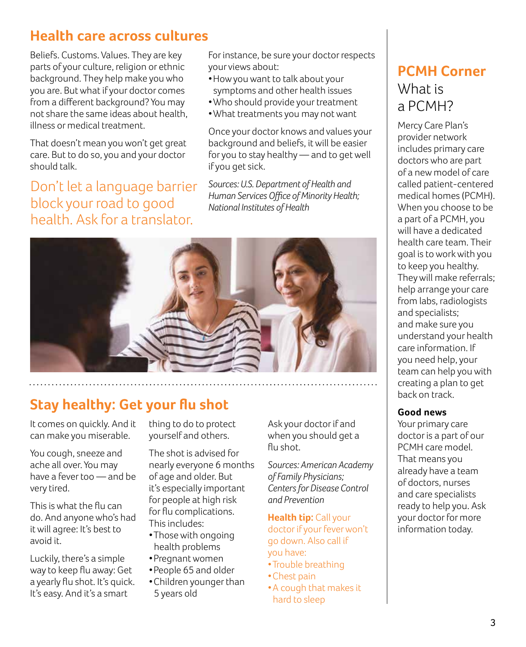### **Health care across cultures**

Beliefs. Customs. Values. They are key parts of your culture, religion or ethnic background. They help make you who you are. But what if your doctor comes from a different background? You may not share the same ideas about health, illness or medical treatment.

That doesn't mean you won't get great care. But to do so, you and your doctor should talk.

Don't let a language barrier block your road to good health. Ask for a translator.

For instance, be sure your doctor respects your views about:

- Howyou want to talk about your symptoms and other health issues
- Who should provide your treatment
- What treatments you may not want

Once your doctor knows and values your background and beliefs, it will be easier for you to stay healthy — and to get well if you get sick.

*Sources: U.S. Department of Health and Human Services Office of Minority Health; National Institutes of Health* 



## **Stay healthy: Get your flu shot**

It comes on quickly. And it can make you miserable.

You cough, sneeze and ache all over. You may have a fever too — and be very tired.

This is what the flu can do. And anyone who's had it will agree: It's best to avoid it.

Luckily, there's a simple way to keep flu away: Get a yearly flu shot. It's quick. It's easy. And it's a smart

thing to do to protect yourself and others.

The shot is advised for nearly everyone 6 months of age and older. But it's especially important for people at high risk for flu complications. This includes:

- Those with ongoing health problems
- Pregnant women
- People 65 and older
- Children younger than 5 years old

Ask your doctor if and when you should get a flu shot.

*Sources: American Academy of Family Physicians; Centers for Disease Control and Prevention* 

**Health tip:** Call your doctor if your fever won't go down. Also call if you have:

- Trouble breathing
- Chest pain

• A cough that makes it hard to sleep

## **PCMH Corner**  What is a PCMH?

Mercy Care Plan's provider network includes primary care doctors who are part of a new model of care called patient-centered medical homes (PCMH). When you choose to be a part of a PCMH, you will have a dedicated health care team. Their goal is to work with you to keep you healthy. They will make referrals; help arrange your care from labs, radiologists and specialists; and make sure you understand your health care information. If you need help, your team can help you with creating a plan to get back on track.

#### **Good news**

Your primary care doctor is a part of our PCMH care model. That means you already have a team of doctors, nurses and care specialists ready to help you. Ask your doctor for more information today.